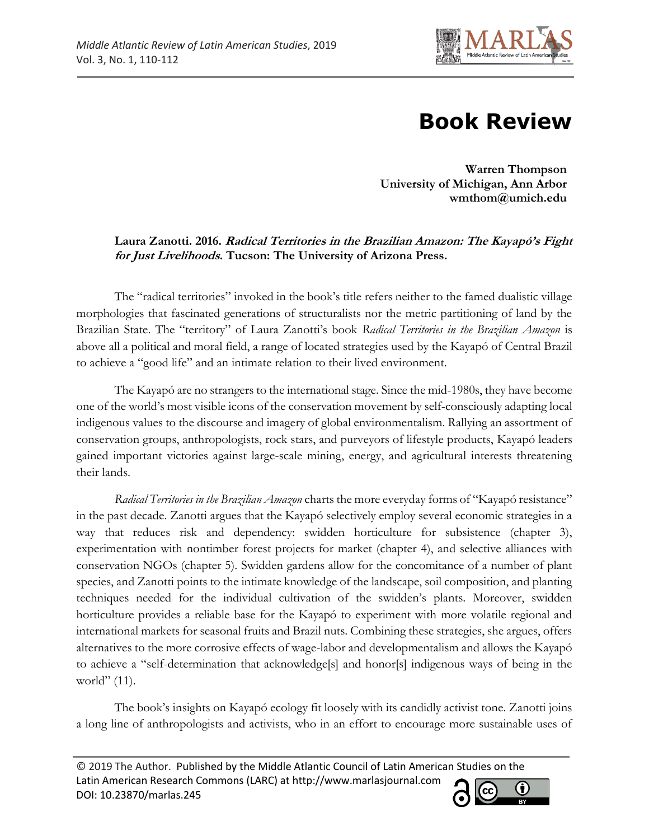

## **Book Review**

**Warren Thompson University of Michigan, Ann Arbor wmthom@umich.edu**

**Laura Zanotti. 2016. Radical Territories in the Brazilian Amazon: The Kayapó's Fight for Just Livelihoods. Tucson: The University of Arizona Press.**

The "radical territories" invoked in the book's title refers neither to the famed dualistic village morphologies that fascinated generations of structuralists nor the metric partitioning of land by the Brazilian State. The "territory" of Laura Zanotti's book *Radical Territories in the Brazilian Amazon* is above all a political and moral field, a range of located strategies used by the Kayapó of Central Brazil to achieve a "good life" and an intimate relation to their lived environment.

The Kayapó are no strangers to the international stage. Since the mid-1980s, they have become one of the world's most visible icons of the conservation movement by self-consciously adapting local indigenous values to the discourse and imagery of global environmentalism. Rallying an assortment of conservation groups, anthropologists, rock stars, and purveyors of lifestyle products, Kayapó leaders gained important victories against large-scale mining, energy, and agricultural interests threatening their lands.

*Radical Territories in the Brazilian Amazon* charts the more everyday forms of "Kayapó resistance" in the past decade. Zanotti argues that the Kayapó selectively employ several economic strategies in a way that reduces risk and dependency: swidden horticulture for subsistence (chapter 3), experimentation with nontimber forest projects for market (chapter 4), and selective alliances with conservation NGOs (chapter 5). Swidden gardens allow for the concomitance of a number of plant species, and Zanotti points to the intimate knowledge of the landscape, soil composition, and planting techniques needed for the individual cultivation of the swidden's plants. Moreover, swidden horticulture provides a reliable base for the Kayapó to experiment with more volatile regional and international markets for seasonal fruits and Brazil nuts. Combining these strategies, she argues, offers alternatives to the more corrosive effects of wage-labor and developmentalism and allows the Kayapó to achieve a "self-determination that acknowledge[s] and honor[s] indigenous ways of being in the world" (11).

The book's insights on Kayapó ecology fit loosely with its candidly activist tone. Zanotti joins a long line of anthropologists and activists, who in an effort to encourage more sustainable uses of

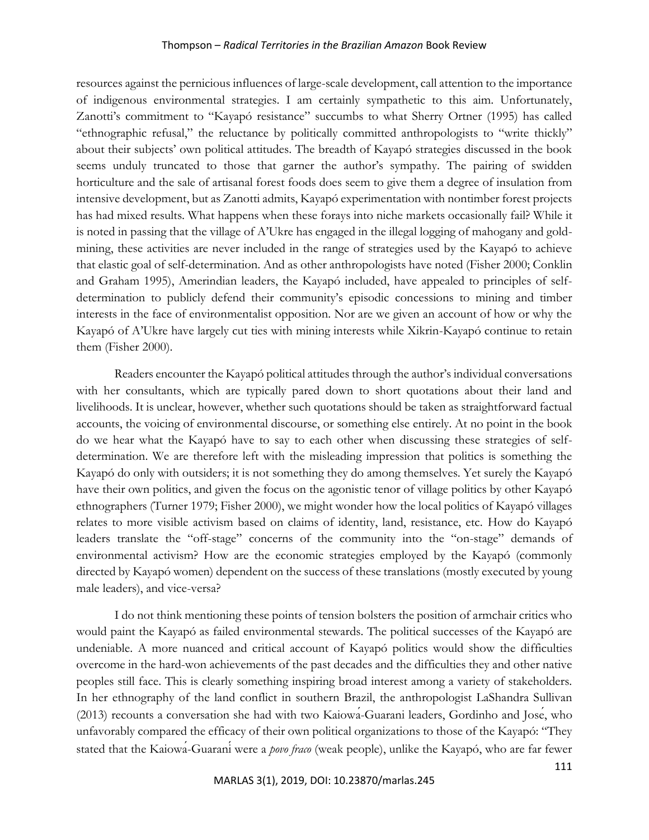## Thompson – *Radical Territories in the Brazilian Amazon* Book Review

resources against the pernicious influences of large-scale development, call attention to the importance of indigenous environmental strategies. I am certainly sympathetic to this aim. Unfortunately, Zanotti's commitment to "Kayapó resistance" succumbs to what Sherry Ortner (1995) has called "ethnographic refusal," the reluctance by politically committed anthropologists to "write thickly" about their subjects' own political attitudes. The breadth of Kayapó strategies discussed in the book seems unduly truncated to those that garner the author's sympathy. The pairing of swidden horticulture and the sale of artisanal forest foods does seem to give them a degree of insulation from intensive development, but as Zanotti admits, Kayapó experimentation with nontimber forest projects has had mixed results. What happens when these forays into niche markets occasionally fail? While it is noted in passing that the village of A'Ukre has engaged in the illegal logging of mahogany and goldmining, these activities are never included in the range of strategies used by the Kayapó to achieve that elastic goal of self-determination. And as other anthropologists have noted (Fisher 2000; Conklin and Graham 1995), Amerindian leaders, the Kayapó included, have appealed to principles of selfdetermination to publicly defend their community's episodic concessions to mining and timber interests in the face of environmentalist opposition. Nor are we given an account of how or why the Kayapó of A'Ukre have largely cut ties with mining interests while Xikrin-Kayapó continue to retain them (Fisher 2000).

Readers encounter the Kayapó political attitudes through the author's individual conversations with her consultants, which are typically pared down to short quotations about their land and livelihoods. It is unclear, however, whether such quotations should be taken as straightforward factual accounts, the voicing of environmental discourse, or something else entirely. At no point in the book do we hear what the Kayapó have to say to each other when discussing these strategies of selfdetermination. We are therefore left with the misleading impression that politics is something the Kayapó do only with outsiders; it is not something they do among themselves. Yet surely the Kayapó have their own politics, and given the focus on the agonistic tenor of village politics by other Kayapó ethnographers (Turner 1979; Fisher 2000), we might wonder how the local politics of Kayapó villages relates to more visible activism based on claims of identity, land, resistance, etc. How do Kayapó leaders translate the "off-stage" concerns of the community into the "on-stage" demands of environmental activism? How are the economic strategies employed by the Kayapó (commonly directed by Kayapó women) dependent on the success of these translations (mostly executed by young male leaders), and vice-versa?

I do not think mentioning these points of tension bolsters the position of armchair critics who would paint the Kayapó as failed environmental stewards. The political successes of the Kayapó are undeniable. A more nuanced and critical account of Kayapó politics would show the difficulties overcome in the hard-won achievements of the past decades and the difficulties they and other native peoples still face. This is clearly something inspiring broad interest among a variety of stakeholders. In her ethnography of the land conflict in southern Brazil, the anthropologist LaShandra Sullivan (2013) recounts a conversation she had with two Kaiowá-Guarani leaders, Gordinho and José, who unfavorably compared the efficacy of their own political organizations to those of the Kayapó: "They stated that the Kaiowá-Guaraníwere a *povo fraco* (weak people), unlike the Kayapó, who are far fewer